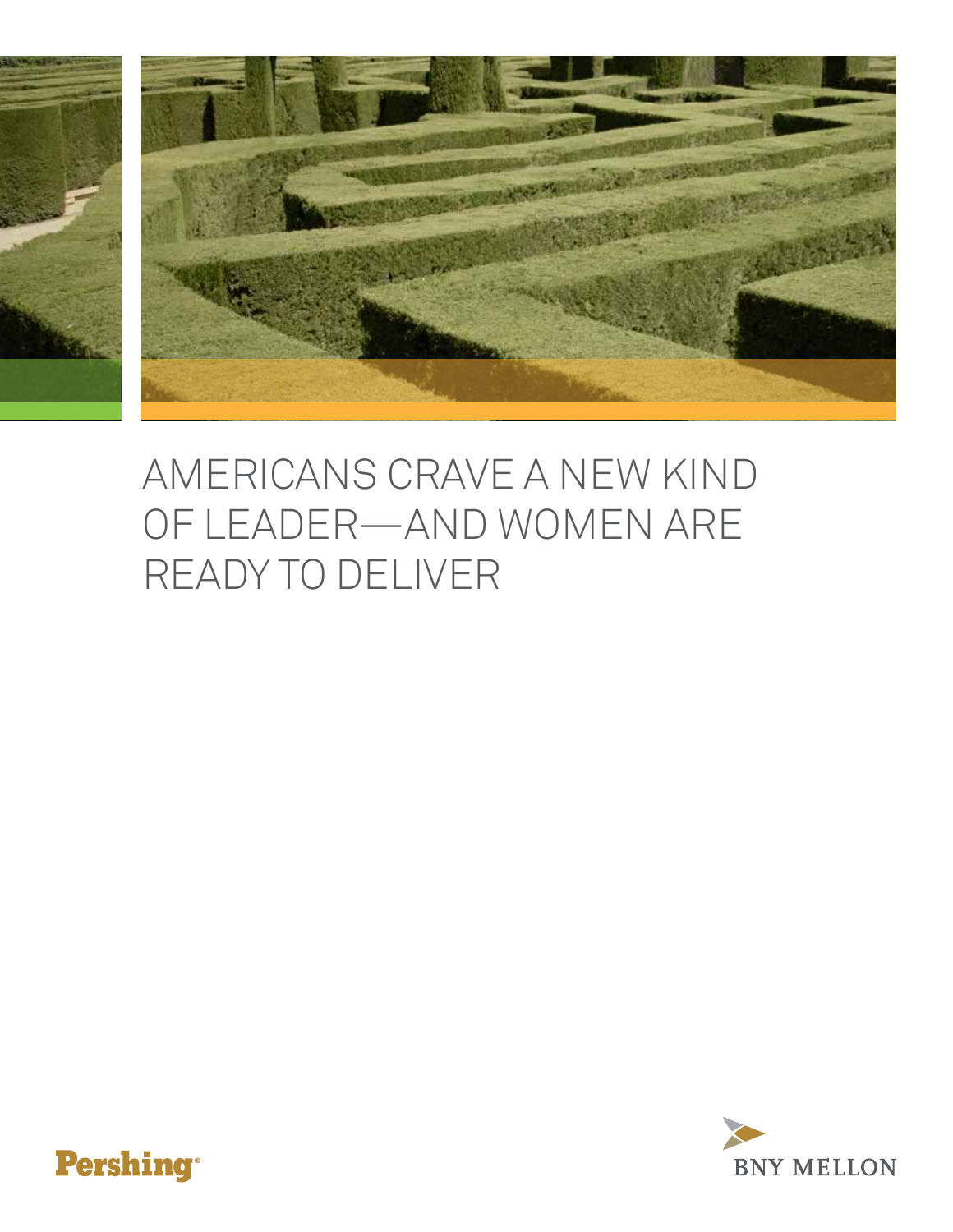

# Americans Crave a New Kind of Leader—And Women Are Ready to Deliver



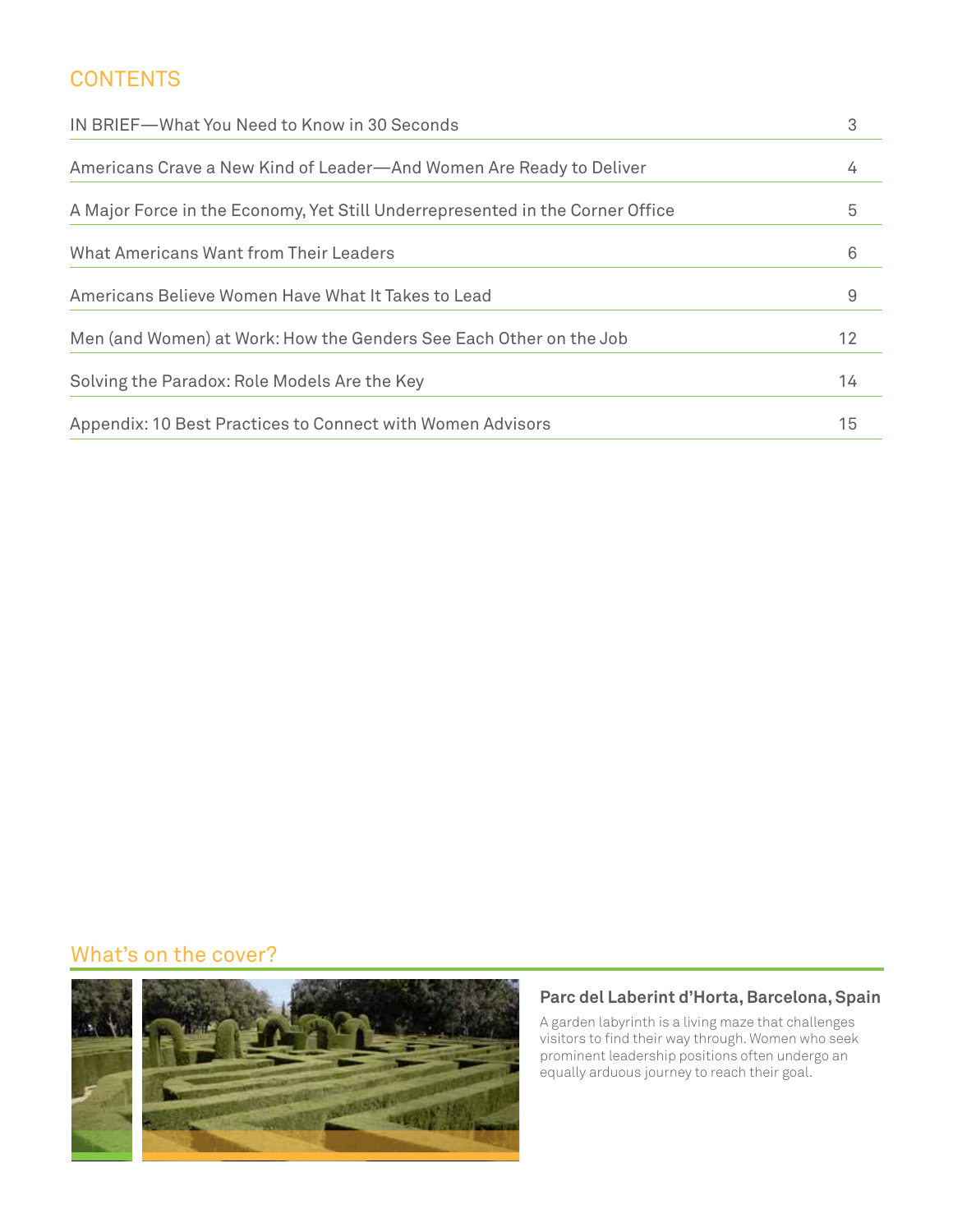#### **CONTENTS**

| IN BRIEF-What You Need to Know in 30 Seconds                                  |    |
|-------------------------------------------------------------------------------|----|
| Americans Crave a New Kind of Leader-And Women Are Ready to Deliver           | 4  |
| A Major Force in the Economy, Yet Still Underrepresented in the Corner Office | 5  |
| What Americans Want from Their Leaders                                        | 6  |
| Americans Believe Women Have What It Takes to Lead                            | 9  |
| Men (and Women) at Work: How the Genders See Each Other on the Job            | 12 |
| Solving the Paradox: Role Models Are the Key                                  | 14 |
| Appendix: 10 Best Practices to Connect with Women Advisors                    | 15 |

#### What's on the cover?



#### **Parc del Laberint d'Horta, Barcelona, Spain**

A garden labyrinth is a living maze that challenges visitors to find their way through. Women who seek prominent leadership positions often undergo an equally arduous journey to reach their goal.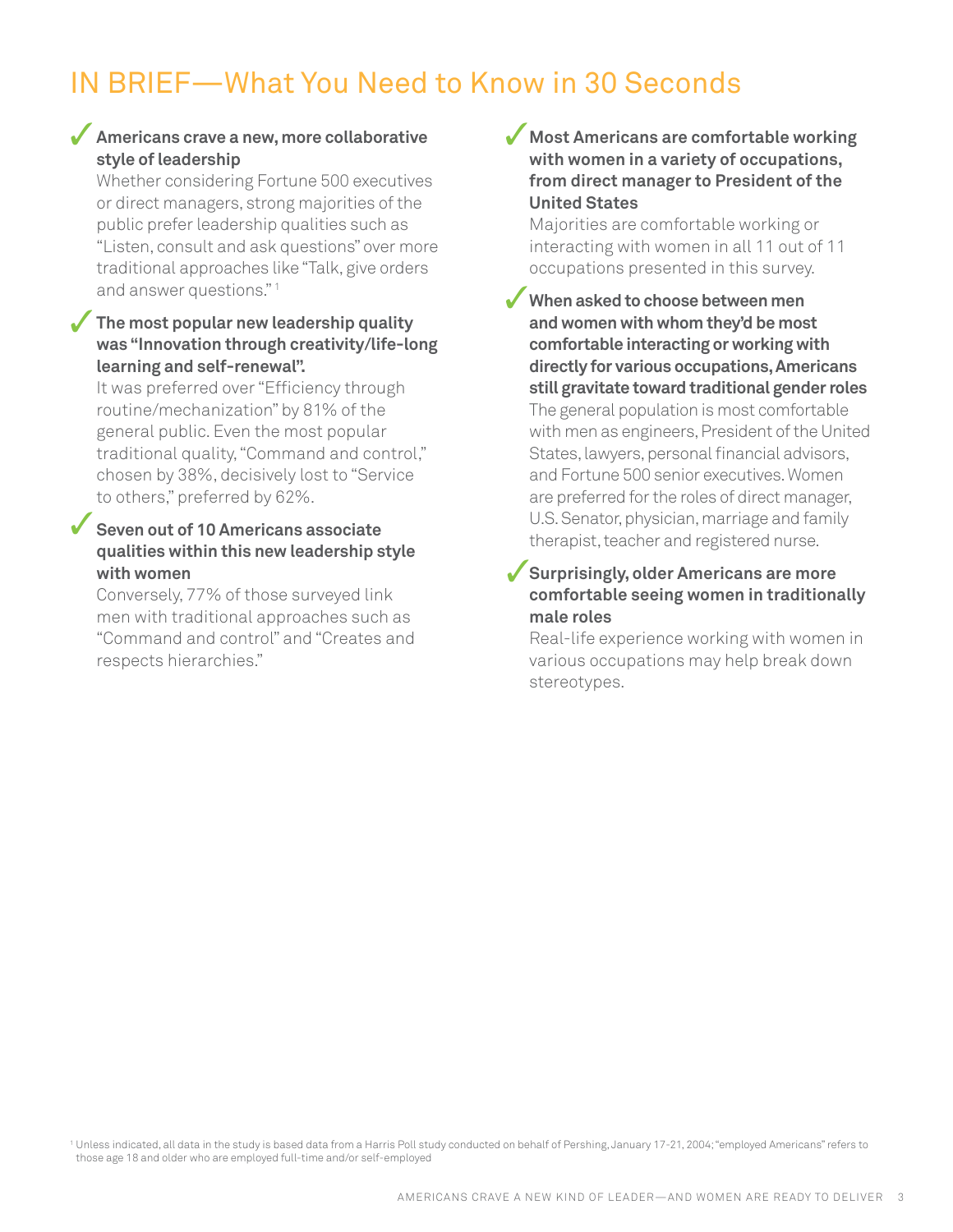# IN BRIEF—What You Need to Know in 30 Seconds

#### **Americans crave a new, more collaborative**  3 **style of leadership**

Whether considering Fortune 500 executives or direct managers, strong majorities of the public prefer leadership qualities such as "Listen, consult and ask questions" over more traditional approaches like "Talk, give orders and answer questions." 1

#### **The most popular new leadership quality was "Innovation through creativity/life-long learning and self-renewal".**   $\checkmark$

It was preferred over "Efficiency through routine/mechanization" by 81% of the general public. Even the most popular traditional quality, "Command and control," chosen by 38%, decisively lost to "Service to others," preferred by 62%.

#### **Seven out of 10 Americans associate qualities within this new leadership style with women**  $\checkmark$

Conversely, 77% of those surveyed link men with traditional approaches such as "Command and control" and "Creates and respects hierarchies."

#### **Most Americans are comfortable working**  3 **with women in a variety of occupations, from direct manager to President of the United States**

Majorities are comfortable working or interacting with women in all 11 out of 11 occupations presented in this survey.

**When asked to choose between men and women with whom they'd be most comfortable interacting or working with directly for various occupations, Americans still gravitate toward traditional gender roles** The general population is most comfortable with men as engineers, President of the United States, lawyers, personal financial advisors, and Fortune 500 senior executives. Women are preferred for the roles of direct manager, U.S. Senator, physician, marriage and family therapist, teacher and registered nurse.  $\checkmark$ 

#### **Surprisingly, older Americans are more comfortable seeing women in traditionally male roles**  $\checkmark$

Real-life experience working with women in various occupations may help break down stereotypes.

<sup>1</sup> Unless indicated, all data in the study is based data from a Harris Poll study conducted on behalf of Pershing, January 17-21, 2004; "employed Americans" refers to those age 18 and older who are employed full-time and/or self-employed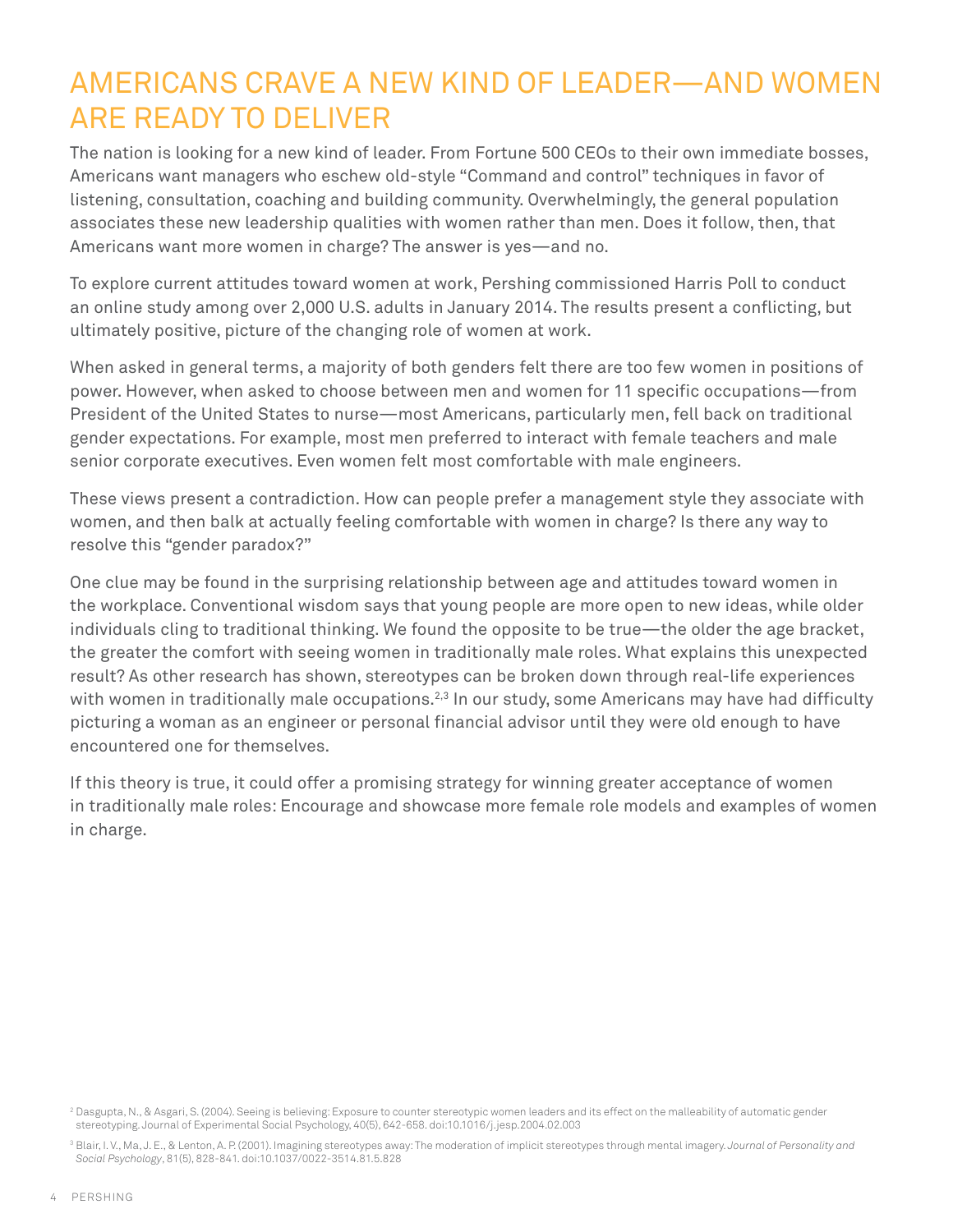# Americans Crave a New Kind of Leader—And Women Are Ready to Deliver

The nation is looking for a new kind of leader. From Fortune 500 CEOs to their own immediate bosses, Americans want managers who eschew old-style "Command and control" techniques in favor of listening, consultation, coaching and building community. Overwhelmingly, the general population associates these new leadership qualities with women rather than men. Does it follow, then, that Americans want more women in charge? The answer is yes—and no.

To explore current attitudes toward women at work, Pershing commissioned Harris Poll to conduct an online study among over 2,000 U.S. adults in January 2014. The results present a conflicting, but ultimately positive, picture of the changing role of women at work.

When asked in general terms, a majority of both genders felt there are too few women in positions of power. However, when asked to choose between men and women for 11 specific occupations—from President of the United States to nurse—most Americans, particularly men, fell back on traditional gender expectations. For example, most men preferred to interact with female teachers and male senior corporate executives. Even women felt most comfortable with male engineers.

These views present a contradiction. How can people prefer a management style they associate with women, and then balk at actually feeling comfortable with women in charge? Is there any way to resolve this "gender paradox?"

One clue may be found in the surprising relationship between age and attitudes toward women in the workplace. Conventional wisdom says that young people are more open to new ideas, while older individuals cling to traditional thinking. We found the opposite to be true—the older the age bracket, the greater the comfort with seeing women in traditionally male roles. What explains this unexpected result? As other research has shown, stereotypes can be broken down through real-life experiences with women in traditionally male occupations.<sup>2,3</sup> In our study, some Americans may have had difficulty picturing a woman as an engineer or personal financial advisor until they were old enough to have encountered one for themselves.

If this theory is true, it could offer a promising strategy for winning greater acceptance of women in traditionally male roles: Encourage and showcase more female role models and examples of women in charge.

<sup>&</sup>lt;sup>2</sup> Dasgupta, N., & Asgari, S. (2004). Seeing is believing: Exposure to counter stereotypic women leaders and its effect on the malleability of automatic gender stereotyping. Journal of Experimental Social Psychology, 40(5), 642-658. doi:10.1016/j.jesp.2004.02.003

<sup>&</sup>lt;sup>3</sup> Blair, I. V., Ma, J. E., & Lenton, A. P. (2001). Imagining stereotypes away: The moderation of implicit stereotypes through mental imagery. *Journal of Personality and Social Psychology*, 81(5), 828-841. doi:10.1037/0022-3514.81.5.828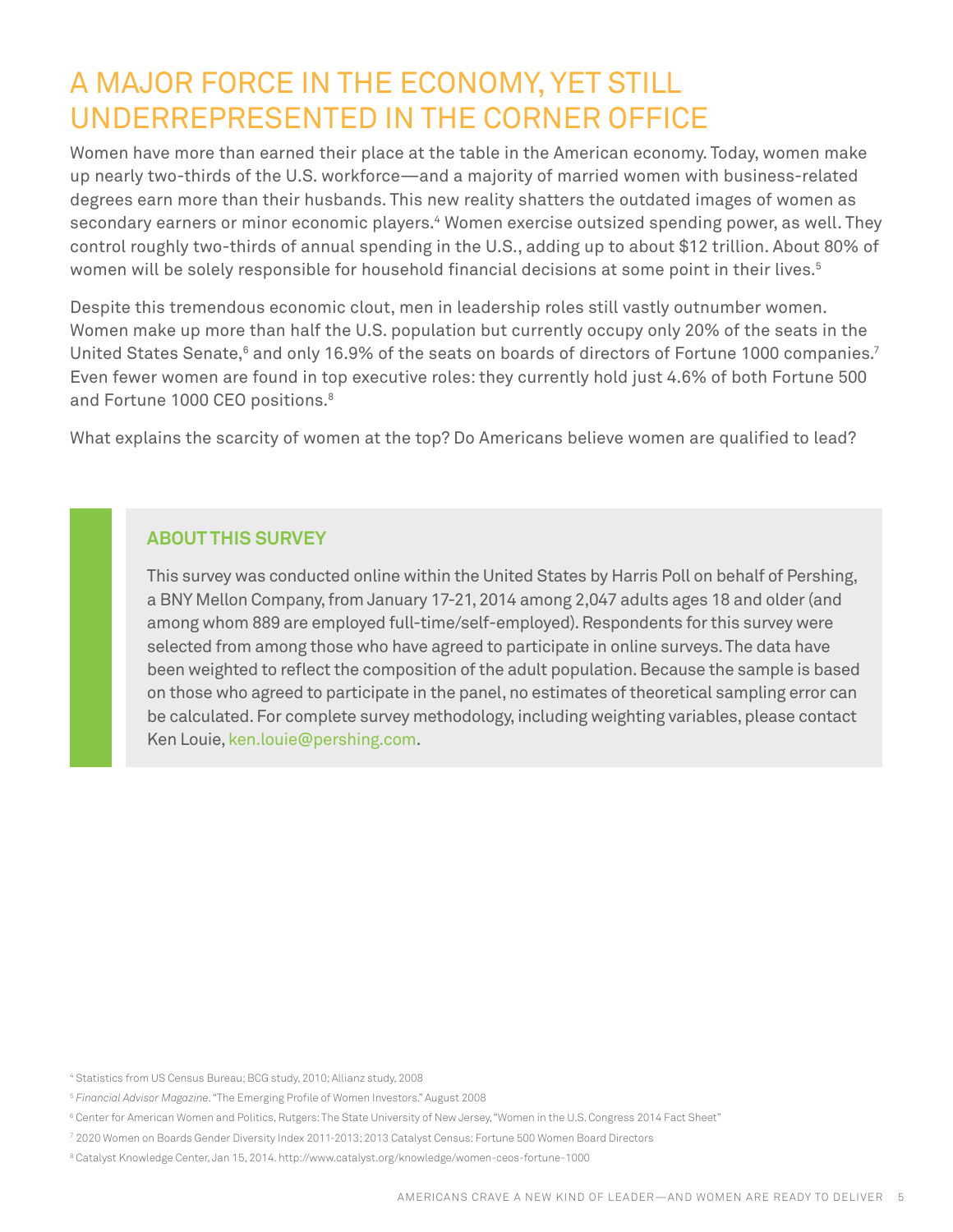# A Major Force in the Economy, Yet Still Underrepresented in the Corner Office

Women have more than earned their place at the table in the American economy. Today, women make up nearly two-thirds of the U.S. workforce—and a majority of married women with business-related degrees earn more than their husbands. This new reality shatters the outdated images of women as secondary earners or minor economic players.<sup>4</sup> Women exercise outsized spending power, as well. They control roughly two-thirds of annual spending in the U.S., adding up to about \$12 trillion. About 80% of women will be solely responsible for household financial decisions at some point in their lives.<sup>5</sup>

Despite this tremendous economic clout, men in leadership roles still vastly outnumber women. Women make up more than half the U.S. population but currently occupy only 20% of the seats in the United States Senate, $^{\rm 6}$  and only 16.9% of the seats on boards of directors of Fortune 1000 companies. $^7$ Even fewer women are found in top executive roles: they currently hold just 4.6% of both Fortune 500 and Fortune 1000 CEO positions.<sup>8</sup>

What explains the scarcity of women at the top? Do Americans believe women are qualified to lead?

#### **About this Survey**

This survey was conducted online within the United States by Harris Poll on behalf of Pershing, a BNY Mellon Company, from January 17-21, 2014 among 2,047 adults ages 18 and older (and among whom 889 are employed full-time/self-employed). Respondents for this survey were selected from among those who have agreed to participate in online surveys. The data have been weighted to reflect the composition of the adult population. Because the sample is based on those who agreed to participate in the panel, no estimates of theoretical sampling error can be calculated. For complete survey methodology, including weighting variables, please contact Ken Louie, ken.louie@pershing.com.

<sup>4</sup> Statistics from US Census Bureau; BCG study, 2010; Allianz study, 2008

<sup>5</sup> *Financial Advisor Magazine*. "The Emerging Profile of Women Investors." August 2008

<sup>6</sup> Center for American Women and Politics, Rutgers: The State University of New Jersey, "Women in the U.S. Congress 2014 Fact Sheet"

<sup>7</sup> 2020 Women on Boards Gender Diversity Index 2011-2013; 2013 Catalyst Census: Fortune 500 Women Board Directors

<sup>8</sup> Catalyst Knowledge Center, Jan 15, 2014. http://www.catalyst.org/knowledge/women-ceos-fortune-1000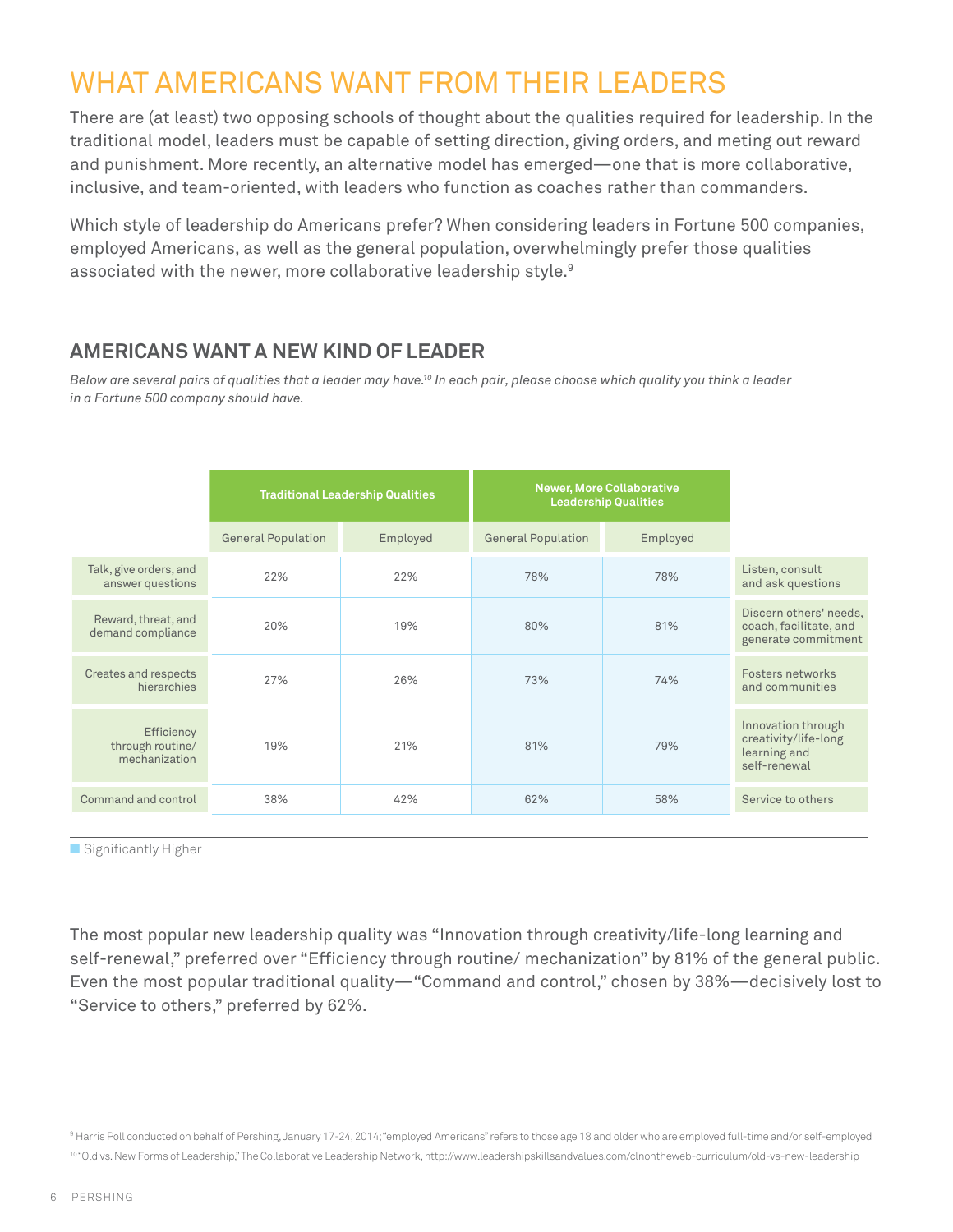# WHAT AMERICANS WANT FROM THEIR LEADERS

There are (at least) two opposing schools of thought about the qualities required for leadership. In the traditional model, leaders must be capable of setting direction, giving orders, and meting out reward and punishment. More recently, an alternative model has emerged—one that is more collaborative, inclusive, and team-oriented, with leaders who function as coaches rather than commanders.

Which style of leadership do Americans prefer? When considering leaders in Fortune 500 companies, employed Americans, as well as the general population, overwhelmingly prefer those qualities associated with the newer, more collaborative leadership style.<sup>9</sup>

#### **AMERICANS WANT A NEW KIND OF LEADER**

*Below are several pairs of qualities that a leader may have.10 In each pair, please choose which quality you think a leader in a Fortune 500 company should have.*

|                                                 | <b>Traditional Leadership Qualities</b> |          | <b>Newer, More Collaborative</b><br><b>Leadership Qualities</b> |          |                                                                            |
|-------------------------------------------------|-----------------------------------------|----------|-----------------------------------------------------------------|----------|----------------------------------------------------------------------------|
|                                                 | <b>General Population</b>               | Employed | <b>General Population</b>                                       | Employed |                                                                            |
| Talk, give orders, and<br>answer questions      | 22%                                     | 22%      | 78%                                                             | 78%      | Listen, consult<br>and ask questions                                       |
| Reward, threat, and<br>demand compliance        | 20%                                     | 19%      | 80%                                                             | 81%      | Discern others' needs,<br>coach, facilitate, and<br>generate commitment    |
| Creates and respects<br>hierarchies             | 27%                                     | 26%      | 73%                                                             | 74%      | Fosters networks<br>and communities                                        |
| Efficiency<br>through routine/<br>mechanization | 19%                                     | 21%      | 81%                                                             | 79%      | Innovation through<br>creativity/life-long<br>learning and<br>self-renewal |
| Command and control                             | 38%                                     | 42%      | 62%                                                             | 58%      | Service to others                                                          |

■ Significantly Higher

The most popular new leadership quality was "Innovation through creativity/life-long learning and self-renewal," preferred over "Efficiency through routine/ mechanization" by 81% of the general public. Even the most popular traditional quality—"Command and control," chosen by 38%—decisively lost to "Service to others," preferred by 62%.

<sup>9</sup> Harris Poll conducted on behalf of Pershing, January 17-24, 2014; "employed Americans" refers to those age 18 and older who are employed full-time and/or self-employed 10"Old vs. New Forms of Leadership," The Collaborative Leadership Network, http://www.leadershipskillsandvalues.com/clnontheweb-curriculum/old-vs-new-leadership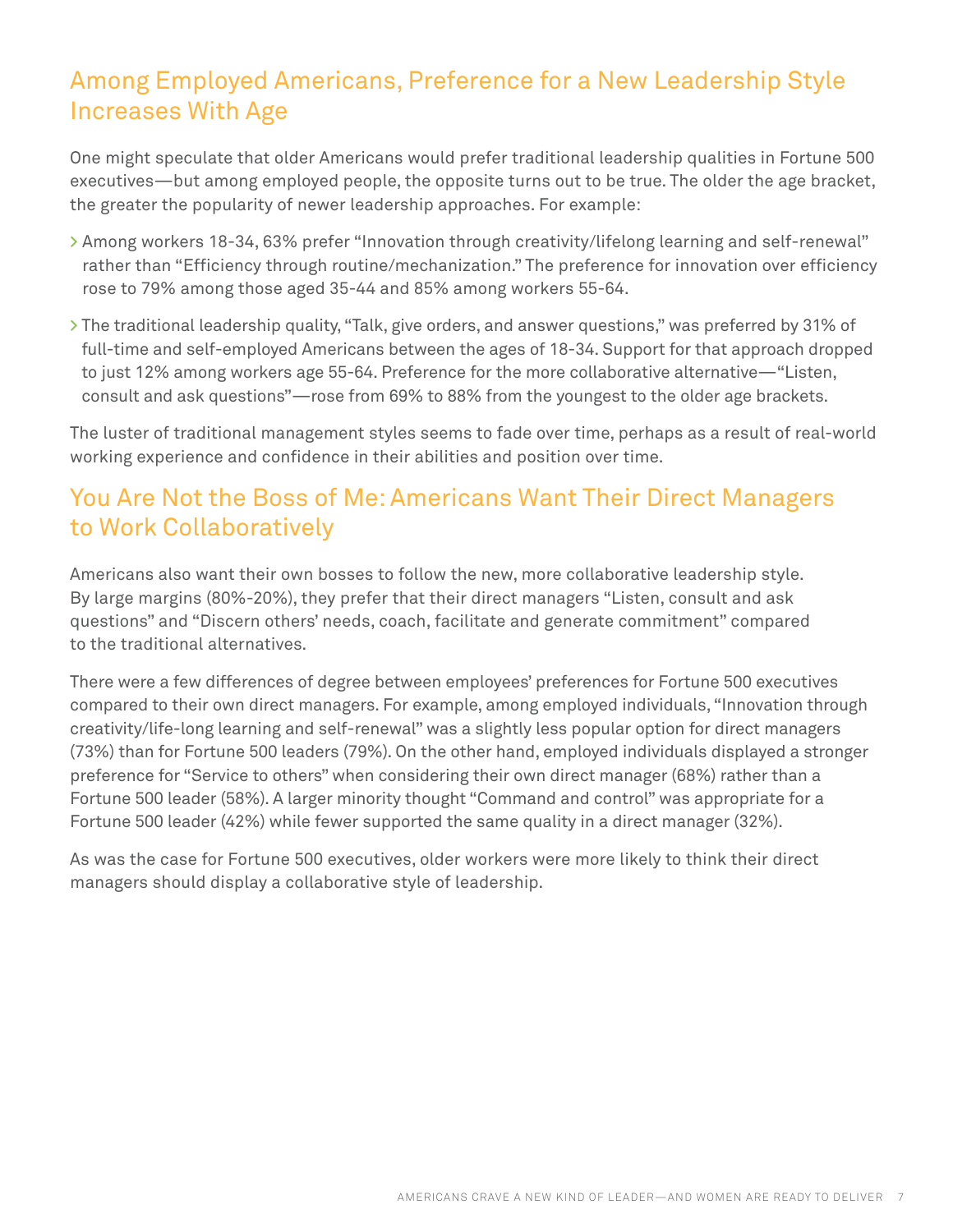# Among Employed Americans, Preference for a New Leadership Style Increases With Age

One might speculate that older Americans would prefer traditional leadership qualities in Fortune 500 executives—but among employed people, the opposite turns out to be true. The older the age bracket, the greater the popularity of newer leadership approaches. For example:

- **>** Among workers 18-34, 63% prefer "Innovation through creativity/lifelong learning and self-renewal" rather than "Efficiency through routine/mechanization." The preference for innovation over efficiency rose to 79% among those aged 35-44 and 85% among workers 55-64.
- **>** The traditional leadership quality, "Talk, give orders, and answer questions," was preferred by 31% of full-time and self-employed Americans between the ages of 18-34. Support for that approach dropped to just 12% among workers age 55-64. Preference for the more collaborative alternative—"Listen, consult and ask questions"—rose from 69% to 88% from the youngest to the older age brackets.

The luster of traditional management styles seems to fade over time, perhaps as a result of real-world working experience and confidence in their abilities and position over time.

# You Are Not the Boss of Me: Americans Want Their Direct Managers to Work Collaboratively

Americans also want their own bosses to follow the new, more collaborative leadership style. By large margins (80%-20%), they prefer that their direct managers "Listen, consult and ask questions" and "Discern others' needs, coach, facilitate and generate commitment" compared to the traditional alternatives.

There were a few differences of degree between employees' preferences for Fortune 500 executives compared to their own direct managers. For example, among employed individuals, "Innovation through creativity/life-long learning and self-renewal" was a slightly less popular option for direct managers (73%) than for Fortune 500 leaders (79%). On the other hand, employed individuals displayed a stronger preference for "Service to others" when considering their own direct manager (68%) rather than a Fortune 500 leader (58%). A larger minority thought "Command and control" was appropriate for a Fortune 500 leader (42%) while fewer supported the same quality in a direct manager (32%).

As was the case for Fortune 500 executives, older workers were more likely to think their direct managers should display a collaborative style of leadership.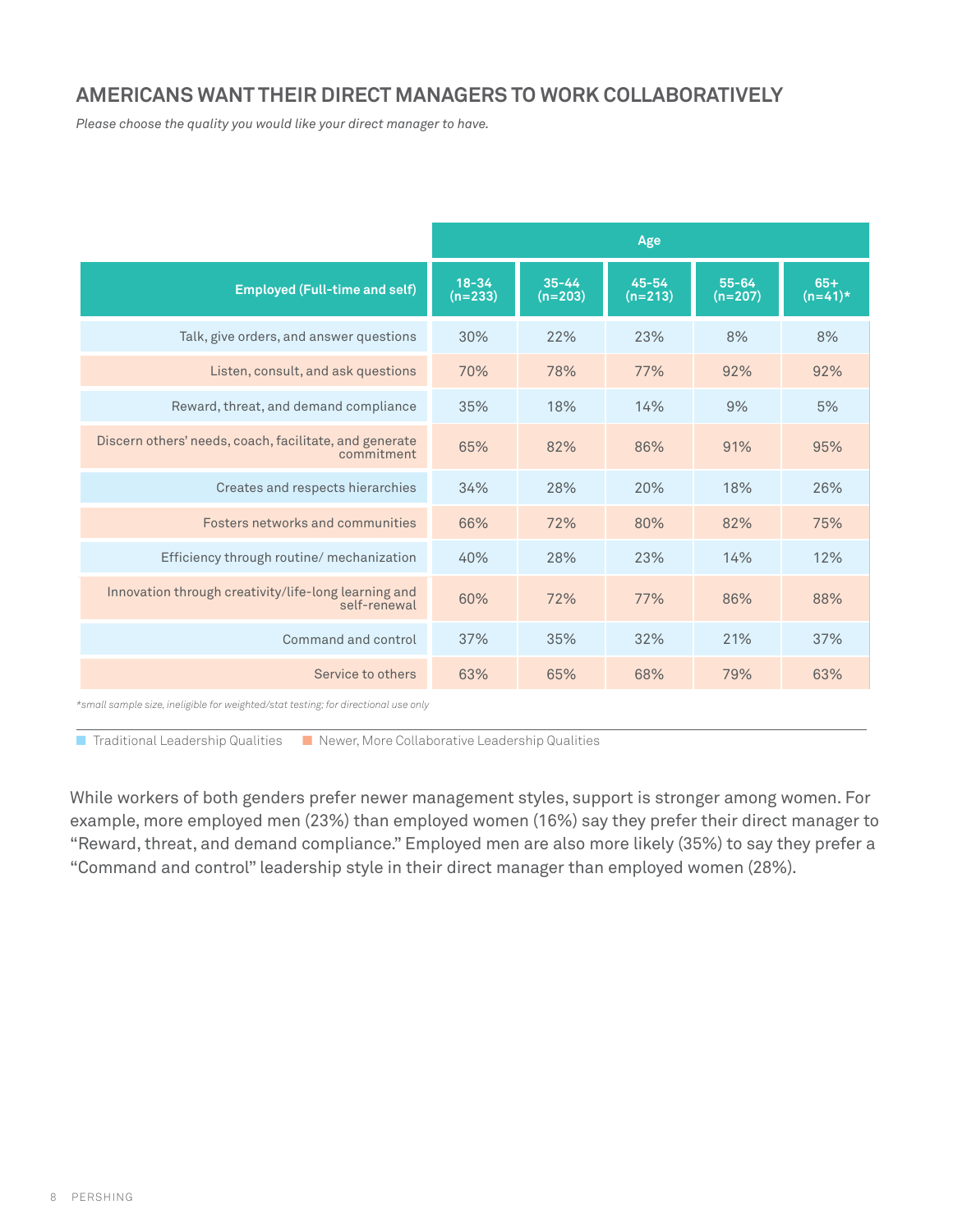#### **AMERICANS WANT THEIR DIRECT MANAGERS TO WORK COLLABORATIVELY**

*Please choose the quality you would like your direct manager to have.*

|                                                                      |                        |                        | Age                    |                      |                    |
|----------------------------------------------------------------------|------------------------|------------------------|------------------------|----------------------|--------------------|
| <b>Employed (Full-time and self)</b>                                 | $18 - 34$<br>$(n=233)$ | $35 - 44$<br>$(n=203)$ | $45 - 54$<br>$(n=213)$ | $55 - 64$<br>(n=207) | $65+$<br>$(n=41)*$ |
| Talk, give orders, and answer questions                              | 30%                    | 22%                    | 23%                    | 8%                   | 8%                 |
| Listen, consult, and ask questions                                   | 70%                    | 78%                    | 77%                    | 92%                  | 92%                |
| Reward, threat, and demand compliance                                | 35%                    | 18%                    | 14%                    | 9%                   | 5%                 |
| Discern others' needs, coach, facilitate, and generate<br>commitment | 65%                    | 82%                    | 86%                    | 91%                  | 95%                |
| Creates and respects hierarchies                                     | 34%                    | 28%                    | 20%                    | 18%                  | 26%                |
| Fosters networks and communities                                     | 66%                    | 72%                    | 80%                    | 82%                  | 75%                |
| Efficiency through routine/ mechanization                            | 40%                    | 28%                    | 23%                    | 14%                  | 12%                |
| Innovation through creativity/life-long learning and<br>self-renewal | 60%                    | 72%                    | 77%                    | 86%                  | 88%                |
| Command and control                                                  | 37%                    | 35%                    | 32%                    | 21%                  | 37%                |
| Service to others                                                    | 63%                    | 65%                    | 68%                    | 79%                  | 63%                |

*\*small sample size, ineligible for weighted/stat testing; for directional use only*

■ Traditional Leadership Qualities ■ Newer, More Collaborative Leadership Qualities

While workers of both genders prefer newer management styles, support is stronger among women. For example, more employed men (23%) than employed women (16%) say they prefer their direct manager to "Reward, threat, and demand compliance." Employed men are also more likely (35%) to say they prefer a "Command and control" leadership style in their direct manager than employed women (28%).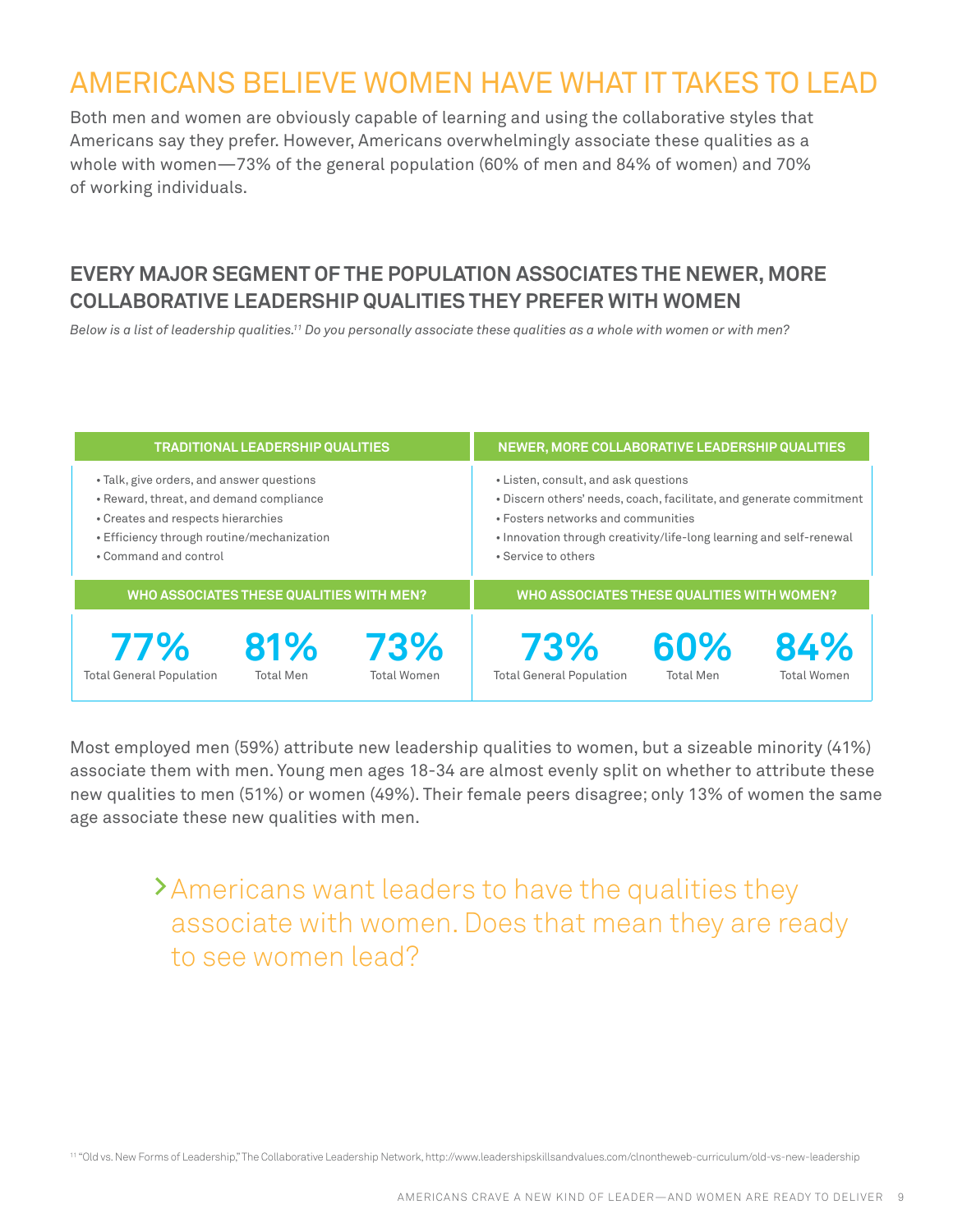# Americans Believe Women Have What It Takes to Lead

Both men and women are obviously capable of learning and using the collaborative styles that Americans say they prefer. However, Americans overwhelmingly associate these qualities as a whole with women—73% of the general population (60% of men and 84% of women) and 70% of working individuals.

#### **EVERY MAJOR SEGMENT OF THE POPULATION ASSOCIATES THE NEWER, MORE COLLABORATIVE LEADERSHIP QUALITIES THEY PREFER WITH WOMEN**

*Below is a list of leadership qualities.11 Do you personally associate these qualities as a whole with women or with men?* 

| <b>TRADITIONAL LEADERSHIP QUALITIES</b>                                                                                                                                                           |                         |                                            | NEWER, MORE COLLABORATIVE LEADERSHIP QUALITIES                                                                                                                                                                                                  |                         |                           |  |
|---------------------------------------------------------------------------------------------------------------------------------------------------------------------------------------------------|-------------------------|--------------------------------------------|-------------------------------------------------------------------------------------------------------------------------------------------------------------------------------------------------------------------------------------------------|-------------------------|---------------------------|--|
| • Talk, give orders, and answer questions<br>• Reward, threat, and demand compliance<br>• Creates and respects hierarchies<br>• Efficiency through routine/mechanization<br>• Command and control |                         |                                            | • Listen, consult, and ask questions<br>. Discern others' needs, coach, facilitate, and generate commitment<br>• Fosters networks and communities<br>• Innovation through creativity/life-long learning and self-renewal<br>• Service to others |                         |                           |  |
| WHO ASSOCIATES THESE QUALITIES WITH MEN?                                                                                                                                                          |                         | WHO ASSOCIATES THESE QUALITIES WITH WOMEN? |                                                                                                                                                                                                                                                 |                         |                           |  |
| 77%<br><b>Total General Population</b>                                                                                                                                                            | 81%<br><b>Total Men</b> | 73%<br><b>Total Women</b>                  | 73%<br><b>Total General Population</b>                                                                                                                                                                                                          | 60%<br><b>Total Men</b> | 84%<br><b>Total Women</b> |  |

Most employed men (59%) attribute new leadership qualities to women, but a sizeable minority (41%) associate them with men. Young men ages 18-34 are almost evenly split on whether to attribute these new qualities to men (51%) or women (49%). Their female peers disagree; only 13% of women the same age associate these new qualities with men.

# **>**Americans want leaders to have the qualities they associate with women. Does that mean they are ready to see women lead?

<sup>11</sup> "Old vs. New Forms of Leadership," The Collaborative Leadership Network, http://www.leadershipskillsandvalues.com/clnontheweb-curriculum/old-vs-new-leadership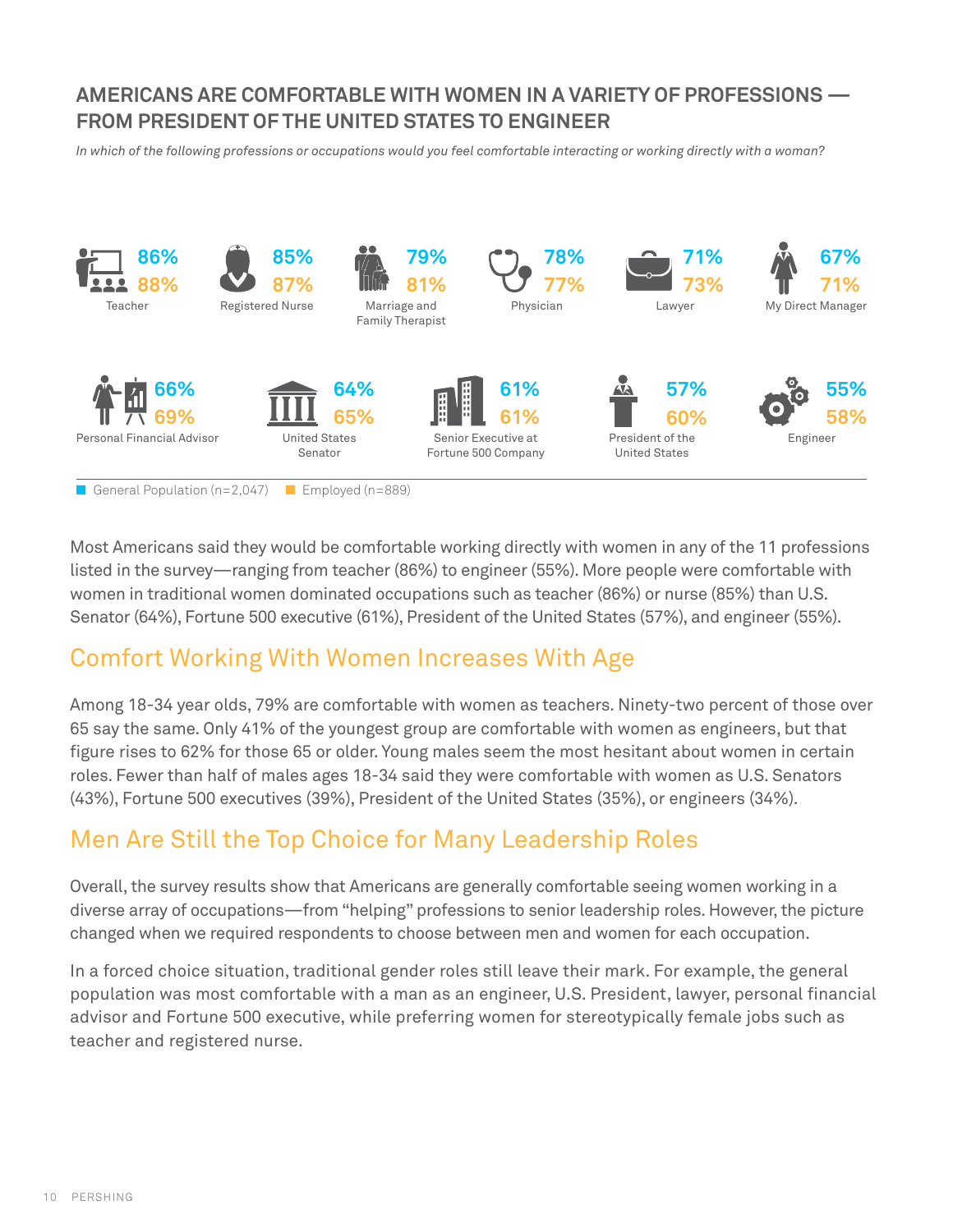#### **AMERICANS ARE COMFORTABLE WITH WOMEN IN A VARIETY OF PROFESSIONS — FROM PRESIDENT OF THE UNITED STATES TO ENGINEER**

*In which of the following professions or occupations would you feel comfortable interacting or working directly with a woman?* 



■ General Population (n=2,047) ■ Employed (n=889)

Most Americans said they would be comfortable working directly with women in any of the 11 professions listed in the survey—ranging from teacher (86%) to engineer (55%). More people were comfortable with women in traditional women dominated occupations such as teacher (86%) or nurse (85%) than U.S. Senator (64%), Fortune 500 executive (61%), President of the United States (57%), and engineer (55%).

# Comfort Working With Women Increases With Age

Among 18-34 year olds, 79% are comfortable with women as teachers. Ninety-two percent of those over 65 say the same. Only 41% of the youngest group are comfortable with women as engineers, but that figure rises to 62% for those 65 or older. Young males seem the most hesitant about women in certain roles. Fewer than half of males ages 18-34 said they were comfortable with women as U.S. Senators (43%), Fortune 500 executives (39%), President of the United States (35%), or engineers (34%).

# Men Are Still the Top Choice for Many Leadership Roles

Overall, the survey results show that Americans are generally comfortable seeing women working in a diverse array of occupations—from "helping" professions to senior leadership roles. However, the picture changed when we required respondents to choose between men and women for each occupation.

In a forced choice situation, traditional gender roles still leave their mark. For example, the general population was most comfortable with a man as an engineer, U.S. President, lawyer, personal financial advisor and Fortune 500 executive, while preferring women for stereotypically female jobs such as teacher and registered nurse.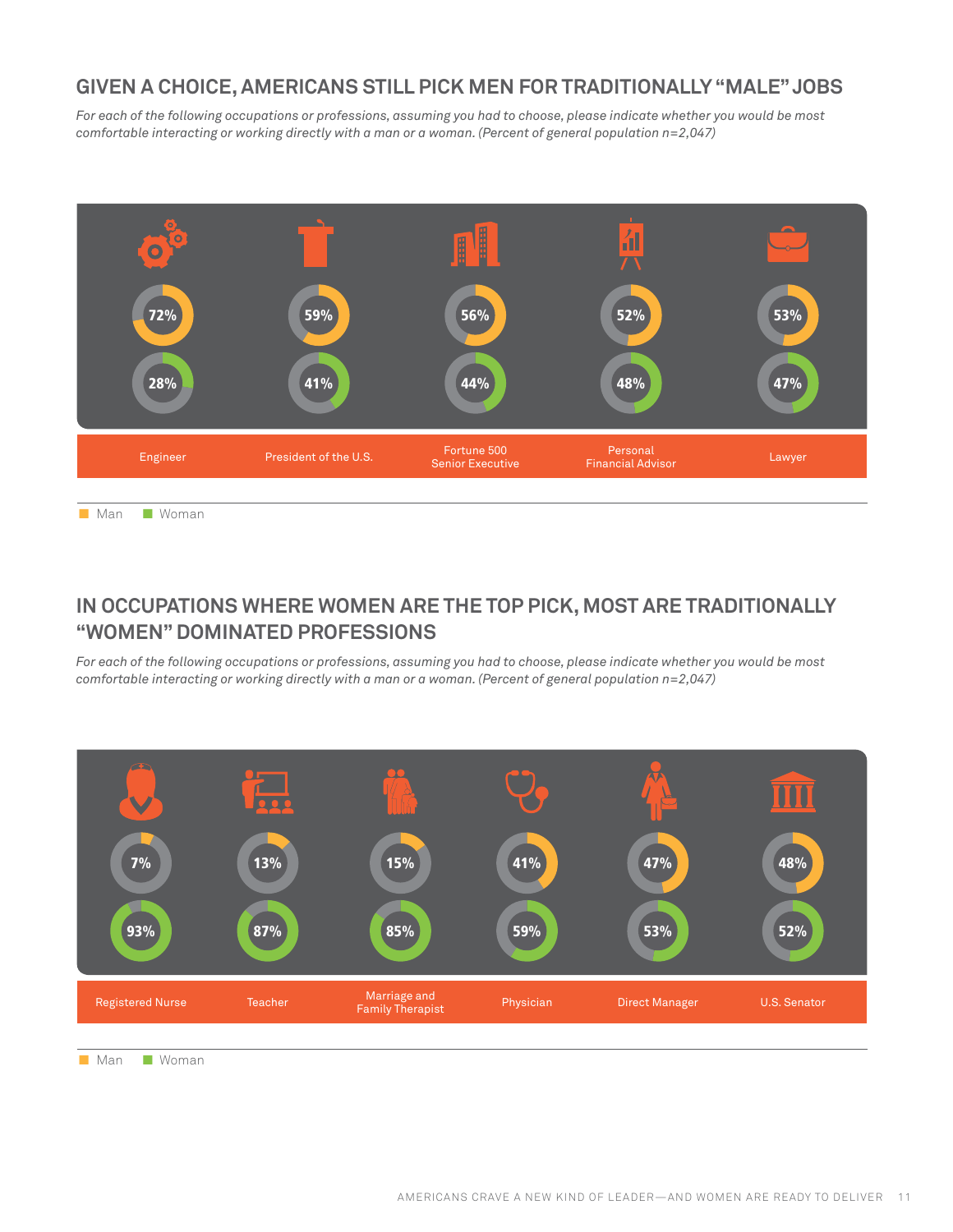### **GIVEN A CHOICE, AMERICANS STILL PICK MEN FOR TRADITIONALLY "MALE" JOBS**

*For each of the following occupations or professions, assuming you had to choose, please indicate whether you would be most comfortable interacting or working directly with a man or a woman. (Percent of general population n=2,047)*



■ Man ■ Woman

#### **IN OCCUPATIONS WHERE WOMEN ARE THE TOP PICK, MOST ARE TRADITIONALLY "WOMEN" DOMINATED PROFESSIONS**

*For each of the following occupations or professions, assuming you had to choose, please indicate whether you would be most comfortable interacting or working directly with a man or a woman. (Percent of general population n=2,047)*



■ Man ■ Woman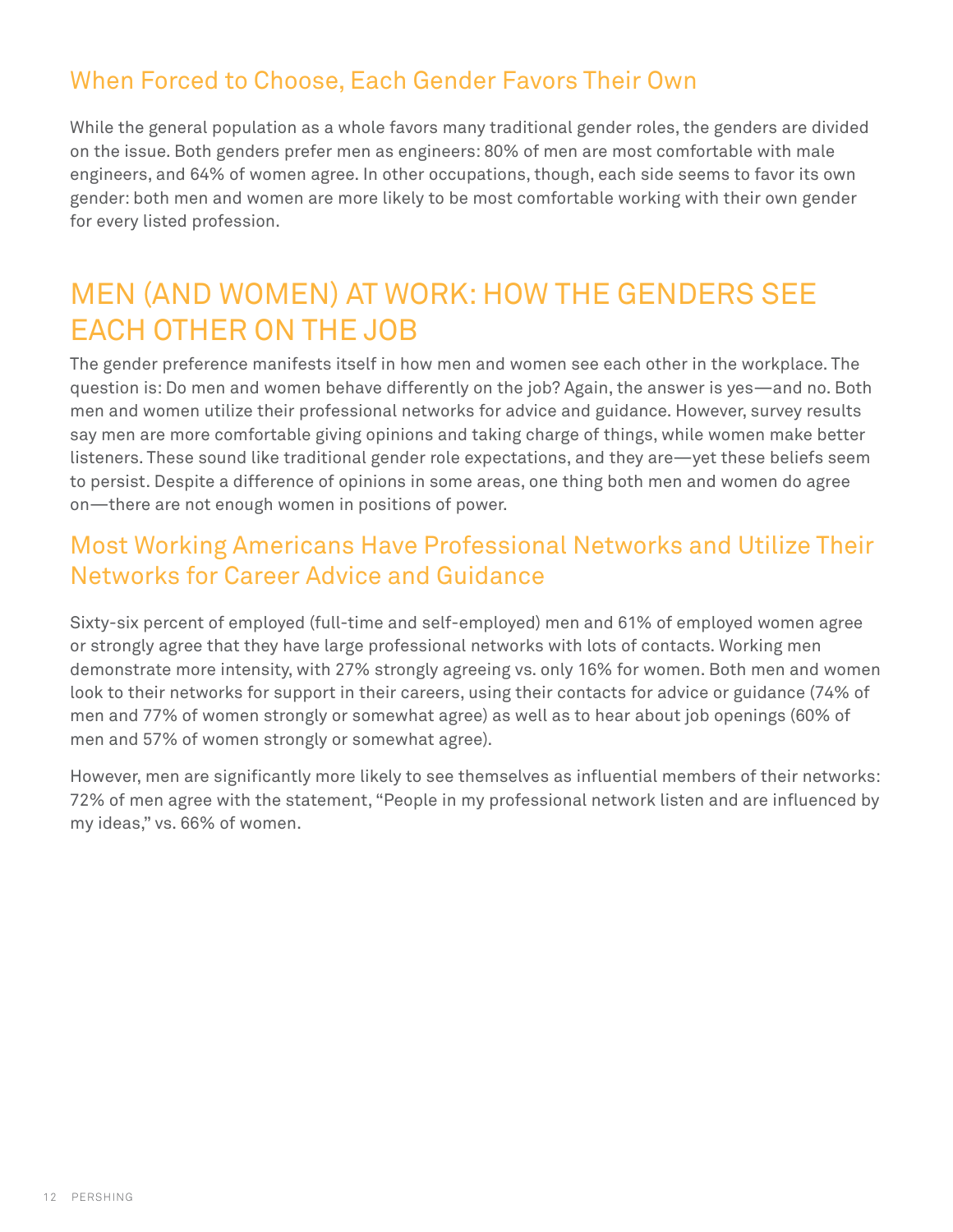# When Forced to Choose, Each Gender Favors Their Own

While the general population as a whole favors many traditional gender roles, the genders are divided on the issue. Both genders prefer men as engineers: 80% of men are most comfortable with male engineers, and 64% of women agree. In other occupations, though, each side seems to favor its own gender: both men and women are more likely to be most comfortable working with their own gender for every listed profession.

# Men (and Women) at Work: How the Genders See EACH OTHER ON THE JOB

The gender preference manifests itself in how men and women see each other in the workplace. The question is: Do men and women behave differently on the job? Again, the answer is yes—and no. Both men and women utilize their professional networks for advice and guidance. However, survey results say men are more comfortable giving opinions and taking charge of things, while women make better listeners. These sound like traditional gender role expectations, and they are—yet these beliefs seem to persist. Despite a difference of opinions in some areas, one thing both men and women do agree on—there are not enough women in positions of power.

## Most Working Americans Have Professional Networks and Utilize Their Networks for Career Advice and Guidance

Sixty-six percent of employed (full-time and self-employed) men and 61% of employed women agree or strongly agree that they have large professional networks with lots of contacts. Working men demonstrate more intensity, with 27% strongly agreeing vs. only 16% for women. Both men and women look to their networks for support in their careers, using their contacts for advice or guidance (74% of men and 77% of women strongly or somewhat agree) as well as to hear about job openings (60% of men and 57% of women strongly or somewhat agree).

However, men are significantly more likely to see themselves as influential members of their networks: 72% of men agree with the statement, "People in my professional network listen and are influenced by my ideas," vs. 66% of women.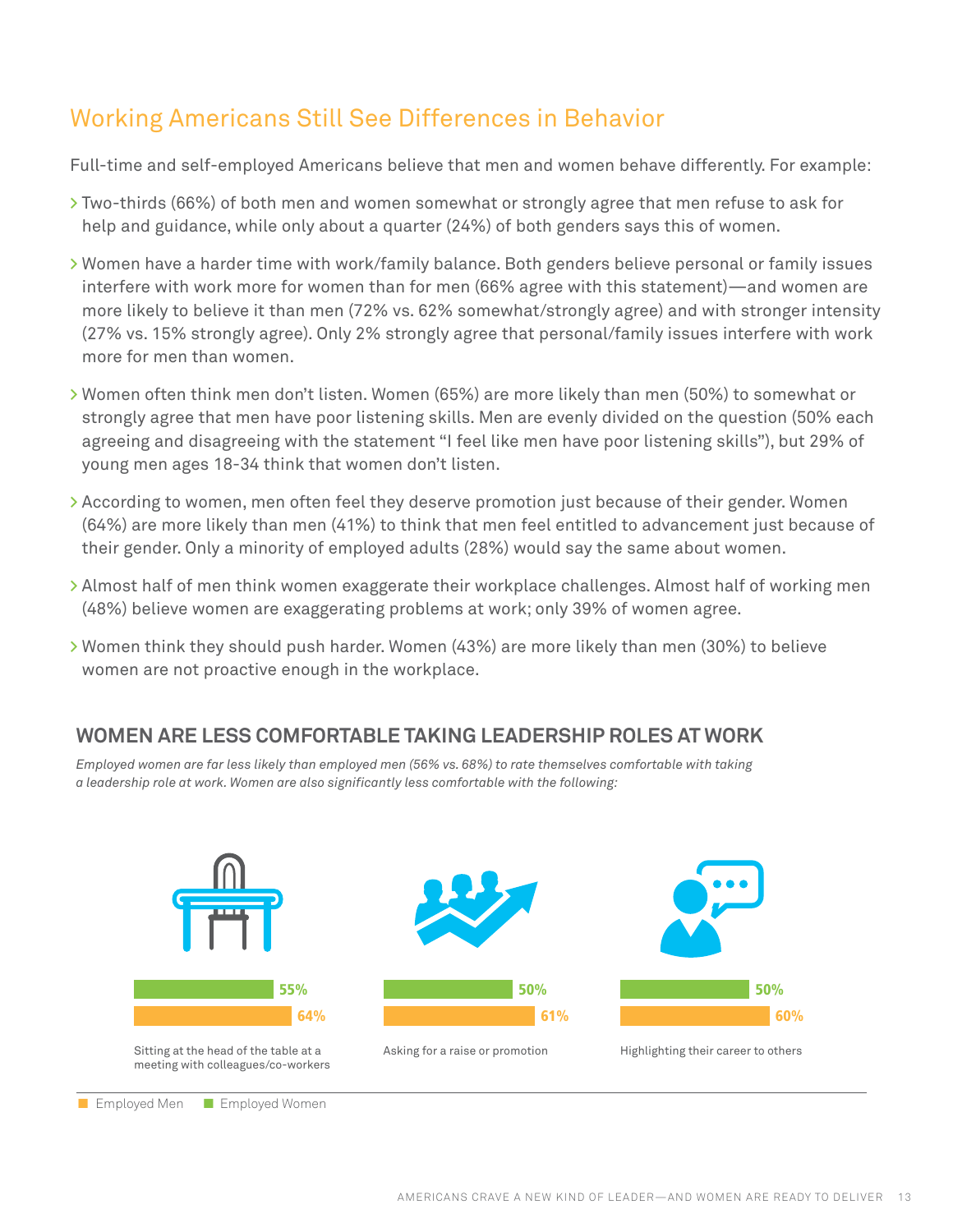# Working Americans Still See Differences in Behavior

Full-time and self-employed Americans believe that men and women behave differently. For example:

- **>** Two-thirds (66%) of both men and women somewhat or strongly agree that men refuse to ask for help and guidance, while only about a quarter (24%) of both genders says this of women.
- **>** Women have a harder time with work/family balance. Both genders believe personal or family issues interfere with work more for women than for men (66% agree with this statement)—and women are more likely to believe it than men (72% vs. 62% somewhat/strongly agree) and with stronger intensity (27% vs. 15% strongly agree). Only 2% strongly agree that personal/family issues interfere with work more for men than women.
- **>** Women often think men don't listen. Women (65%) are more likely than men (50%) to somewhat or strongly agree that men have poor listening skills. Men are evenly divided on the question (50% each agreeing and disagreeing with the statement "I feel like men have poor listening skills"), but 29% of young men ages 18-34 think that women don't listen.
- **>** According to women, men often feel they deserve promotion just because of their gender. Women (64%) are more likely than men (41%) to think that men feel entitled to advancement just because of their gender. Only a minority of employed adults (28%) would say the same about women.
- **>** Almost half of men think women exaggerate their workplace challenges. Almost half of working men (48%) believe women are exaggerating problems at work; only 39% of women agree.
- **>** Women think they should push harder. Women (43%) are more likely than men (30%) to believe women are not proactive enough in the workplace.

#### **WOMEN ARE LESS COMFORTABLE TAKING LEADERSHIP ROLES AT WORK**

*Employed women are far less likely than employed men (56% vs. 68%) to rate themselves comfortable with taking a leadership role at work. Women are also significantly less comfortable with the following:*



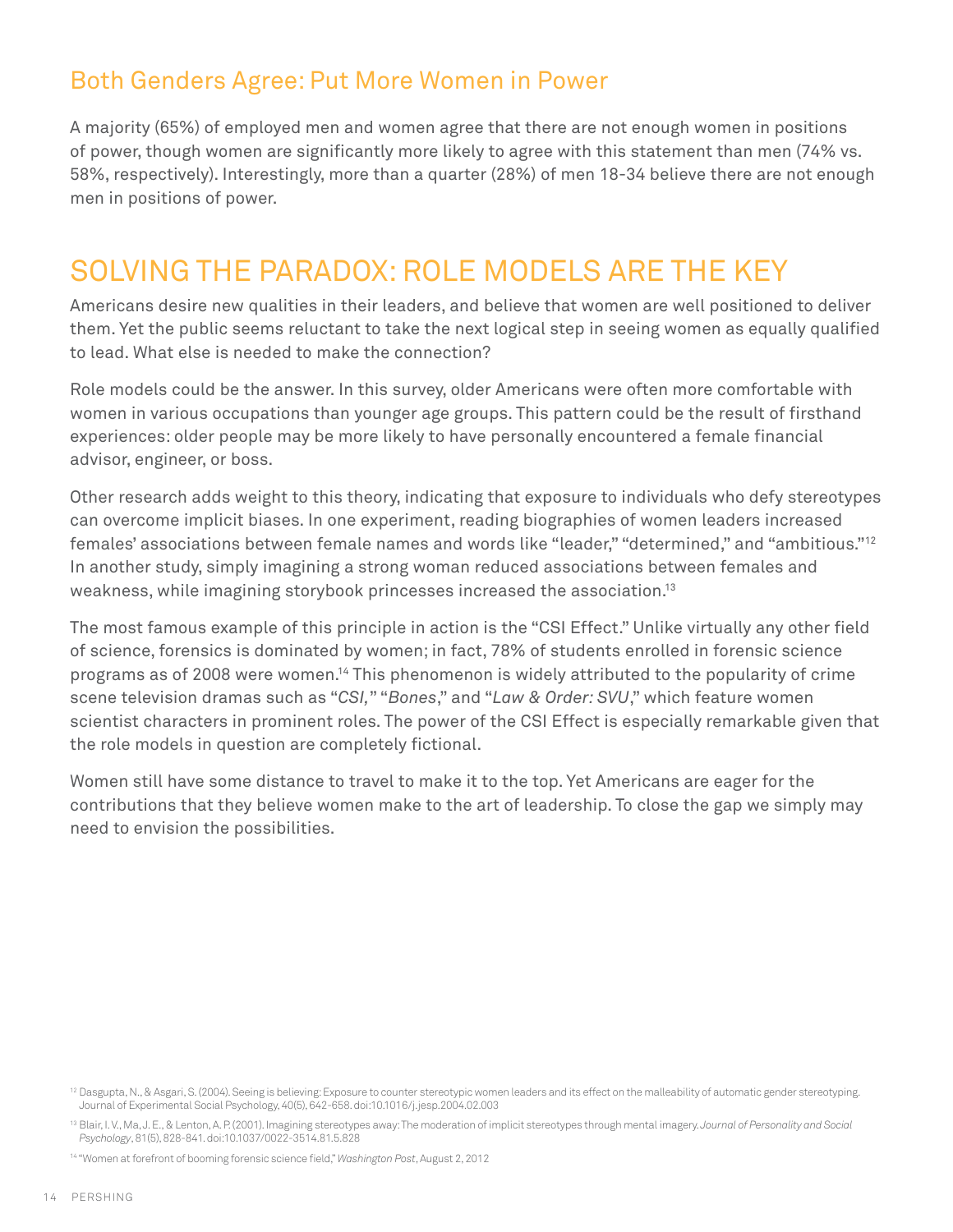# Both Genders Agree: Put More Women in Power

A majority (65%) of employed men and women agree that there are not enough women in positions of power, though women are significantly more likely to agree with this statement than men (74% vs. 58%, respectively). Interestingly, more than a quarter (28%) of men 18-34 believe there are not enough men in positions of power.

# Solving the Paradox: Role Models Are the Key

Americans desire new qualities in their leaders, and believe that women are well positioned to deliver them. Yet the public seems reluctant to take the next logical step in seeing women as equally qualified to lead. What else is needed to make the connection?

Role models could be the answer. In this survey, older Americans were often more comfortable with women in various occupations than younger age groups. This pattern could be the result of firsthand experiences: older people may be more likely to have personally encountered a female financial advisor, engineer, or boss.

Other research adds weight to this theory, indicating that exposure to individuals who defy stereotypes can overcome implicit biases. In one experiment, reading biographies of women leaders increased females' associations between female names and words like "leader," "determined," and "ambitious."12 In another study, simply imagining a strong woman reduced associations between females and weakness, while imagining storybook princesses increased the association.<sup>13</sup>

The most famous example of this principle in action is the "CSI Effect." Unlike virtually any other field of science, forensics is dominated by women; in fact, 78% of students enrolled in forensic science programs as of 2008 were women.14 This phenomenon is widely attributed to the popularity of crime scene television dramas such as "*CSI,*" "*Bones*," and "*Law & Order: SVU*," which feature women scientist characters in prominent roles. The power of the CSI Effect is especially remarkable given that the role models in question are completely fictional.

Women still have some distance to travel to make it to the top. Yet Americans are eager for the contributions that they believe women make to the art of leadership. To close the gap we simply may need to envision the possibilities.

<sup>&</sup>lt;sup>12</sup> Dasgupta, N., & Asgari, S. (2004). Seeing is believing: Exposure to counter stereotypic women leaders and its effect on the malleability of automatic gender stereotyping. Journal of Experimental Social Psychology, 40(5), 642-658. doi:10.1016/j.jesp.2004.02.003

<sup>13</sup> Blair, I. V., Ma, J. E., & Lenton, A. P. (2001). Imagining stereotypes away: The moderation of implicit stereotypes through mental imagery. *Journal of Personality and Social Psychology*, 81(5), 828-841. doi:10.1037/0022-3514.81.5.828

<sup>14 &</sup>quot;Women at forefront of booming forensic science field," *Washington Post*, August 2, 2012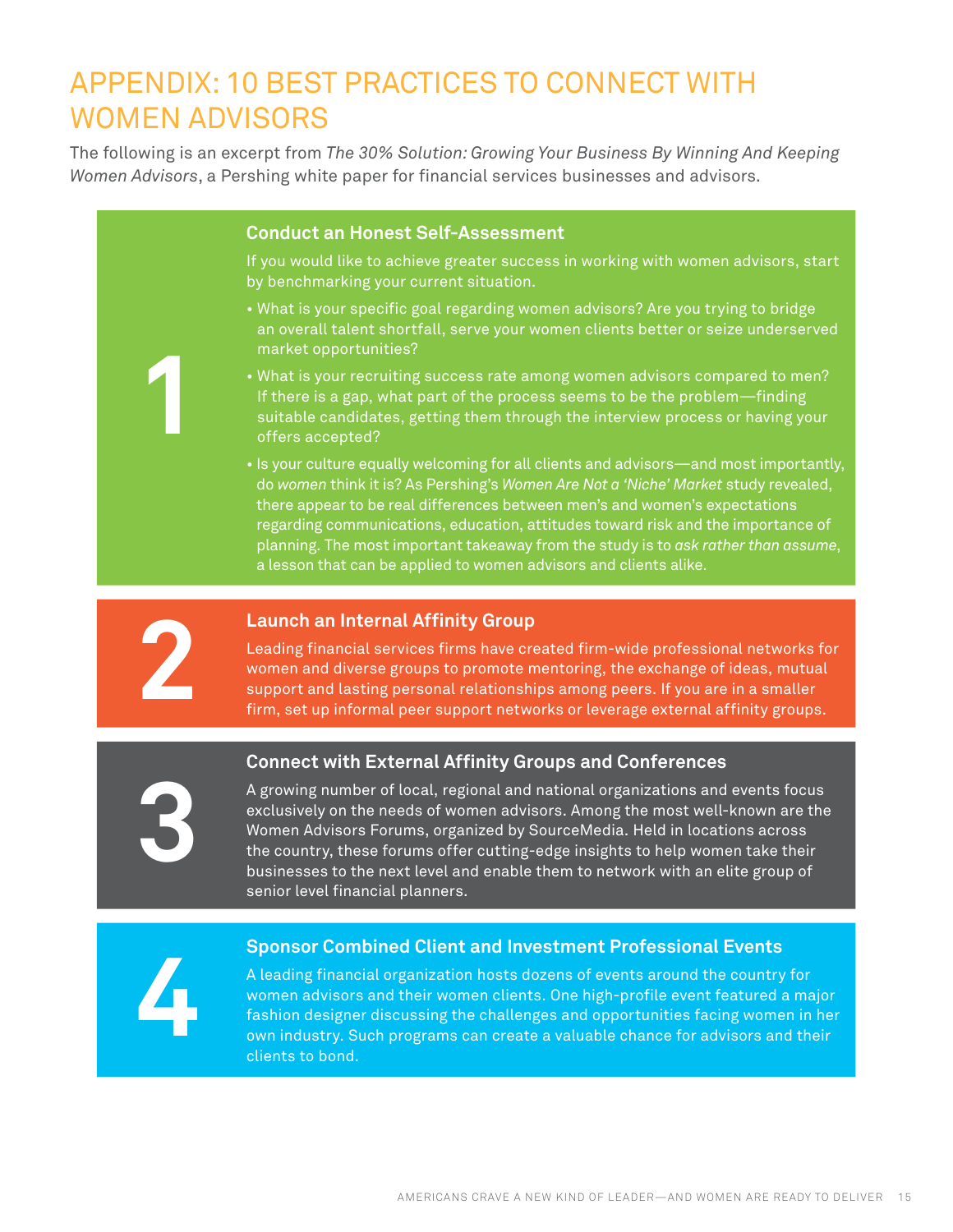# Appendix: 10 Best Practices to Connect with Women Advisors

The following is an excerpt from *The 30% Solution: Growing Your Business By Winning And Keeping Women Advisors*, a Pershing white paper for financial services businesses and advisors.

#### **Conduct an Honest Self-Assessment**

If you would like to achieve greater success in working with women advisors, start by benchmarking your current situation.

- What is your specific goal regarding women advisors? Are you trying to bridge an overall talent shortfall, serve your women clients better or seize underserved market opportunities?
- What is your recruiting success rate among women advisors compared to men? If there is a gap, what part of the process seems to be the problem—finding suitable candidates, getting them through the interview process or having your offers accepted?
- Is your culture equally welcoming for all clients and advisors—and most importantly, do *women* think it is? As Pershing's *Women Are Not a 'Niche' Market* study revealed, there appear to be real differences between men's and women's expectations regarding communications, education, attitudes toward risk and the importance of planning. The most important takeaway from the study is to *ask rather than assume*, a lesson that can be applied to women advisors and clients alike.



**1**

#### **2 Launch an Internal Affinity Group**

Leading financial services firms have created firm-wide professional networks for women and diverse groups to promote mentoring, the exchange of ideas, mutual support and lasting personal relationships among peers. If you are in a smaller firm, set up informal peer support networks or leverage external affinity groups.

#### **Connect with External Affinity Groups and Conferences**

A growing number of local, regional and national organizations and events focus exclusively on the needs of women advisors. Among the most well-known are the Women Advisors Forums, organized by SourceMedia. Held in locations across the country, these forums offer cutting-edge insights to help women take their businesses to the next level and enable them to network with an elite group of senior level financial planners.

# **4**

**3**

#### **Sponsor Combined Client and Investment Professional Events**

A leading financial organization hosts dozens of events around the country for women advisors and their women clients. One high-profile event featured a major fashion designer discussing the challenges and opportunities facing women in her own industry. Such programs can create a valuable chance for advisors and their clients to bond.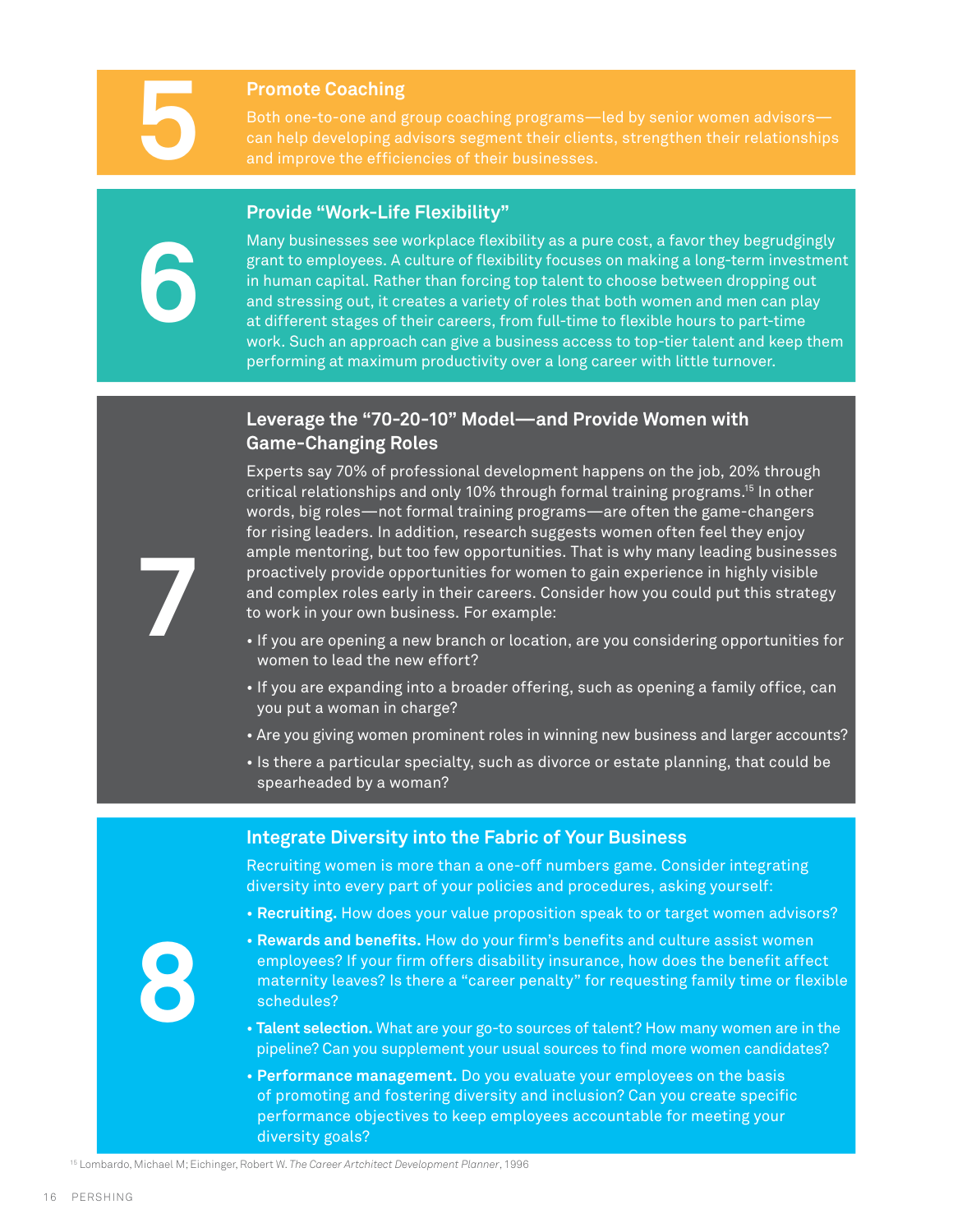**6**

**7**

**Fromote Coaching**<br>Both one-to-one and g<br>can help developing a<br>and improve the effici Both one-to-one and group coaching programs—led by senior women advisors can help developing advisors segment their clients, strengthen their relationships and improve the efficiencies of their businesses.

#### **Provide "Work-Life Flexibility"**

Many businesses see workplace flexibility as a pure cost, a favor they begrudgingly grant to employees. A culture of flexibility focuses on making a long-term investment in human capital. Rather than forcing top talent to choose between dropping out and stressing out, it creates a variety of roles that both women and men can play at different stages of their careers, from full-time to flexible hours to part-time work. Such an approach can give a business access to top-tier talent and keep them performing at maximum productivity over a long career with little turnover.

#### **Leverage the "70-20-10" Model—and Provide Women with Game-Changing Roles**

Experts say 70% of professional development happens on the job, 20% through critical relationships and only 10% through formal training programs.15 In other words, big roles—not formal training programs—are often the game-changers for rising leaders. In addition, research suggests women often feel they enjoy ample mentoring, but too few opportunities. That is why many leading businesses proactively provide opportunities for women to gain experience in highly visible and complex roles early in their careers. Consider how you could put this strategy to work in your own business. For example:

- If you are opening a new branch or location, are you considering opportunities for women to lead the new effort?
- If you are expanding into a broader offering, such as opening a family office, can you put a woman in charge?
- Are you giving women prominent roles in winning new business and larger accounts?
- Is there a particular specialty, such as divorce or estate planning, that could be spearheaded by a woman?

#### **Integrate Diversity into the Fabric of Your Business**

Recruiting women is more than a one-off numbers game. Consider integrating diversity into every part of your policies and procedures, asking yourself:

• **Recruiting.** How does your value proposition speak to or target women advisors?

**8**

- **Rewards and benefits.** How do your firm's benefits and culture assist women employees? If your firm offers disability insurance, how does the benefit affect maternity leaves? Is there a "career penalty" for requesting family time or flexible schedules?
- **Talent selection.** What are your go-to sources of talent? How many women are in the pipeline? Can you supplement your usual sources to find more women candidates?
- **Performance management.** Do you evaluate your employees on the basis of promoting and fostering diversity and inclusion? Can you create specific performance objectives to keep employees accountable for meeting your diversity goals?

<sup>15</sup> Lombardo, Michael M; Eichinger, Robert W. *The Career Artchitect Development Planner*, 1996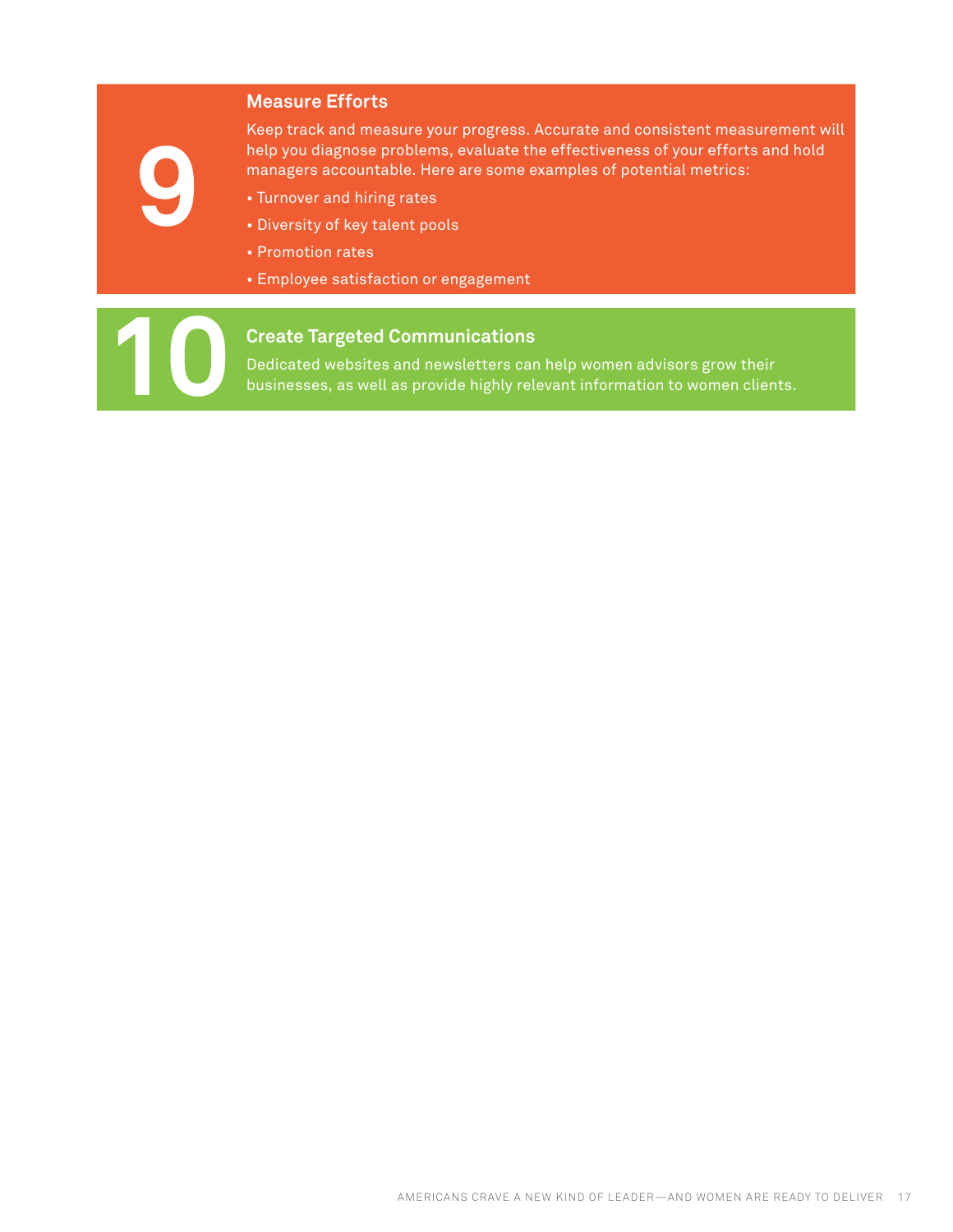#### **Measure Efforts**

**9**

Keep track and measure your progress. Accurate and consistent measurement will help you diagnose problems, evaluate the effectiveness of your efforts and hold managers accountable. Here are some examples of potential metrics:

- Turnover and hiring rates
- Diversity of key talent pools
- Promotion rates
- Employee satisfaction or engagement

#### **10 Create Targeted Communications**

Dedicated websites and newsletters can help women advisors grow their businesses, as well as provide highly relevant information to women clients.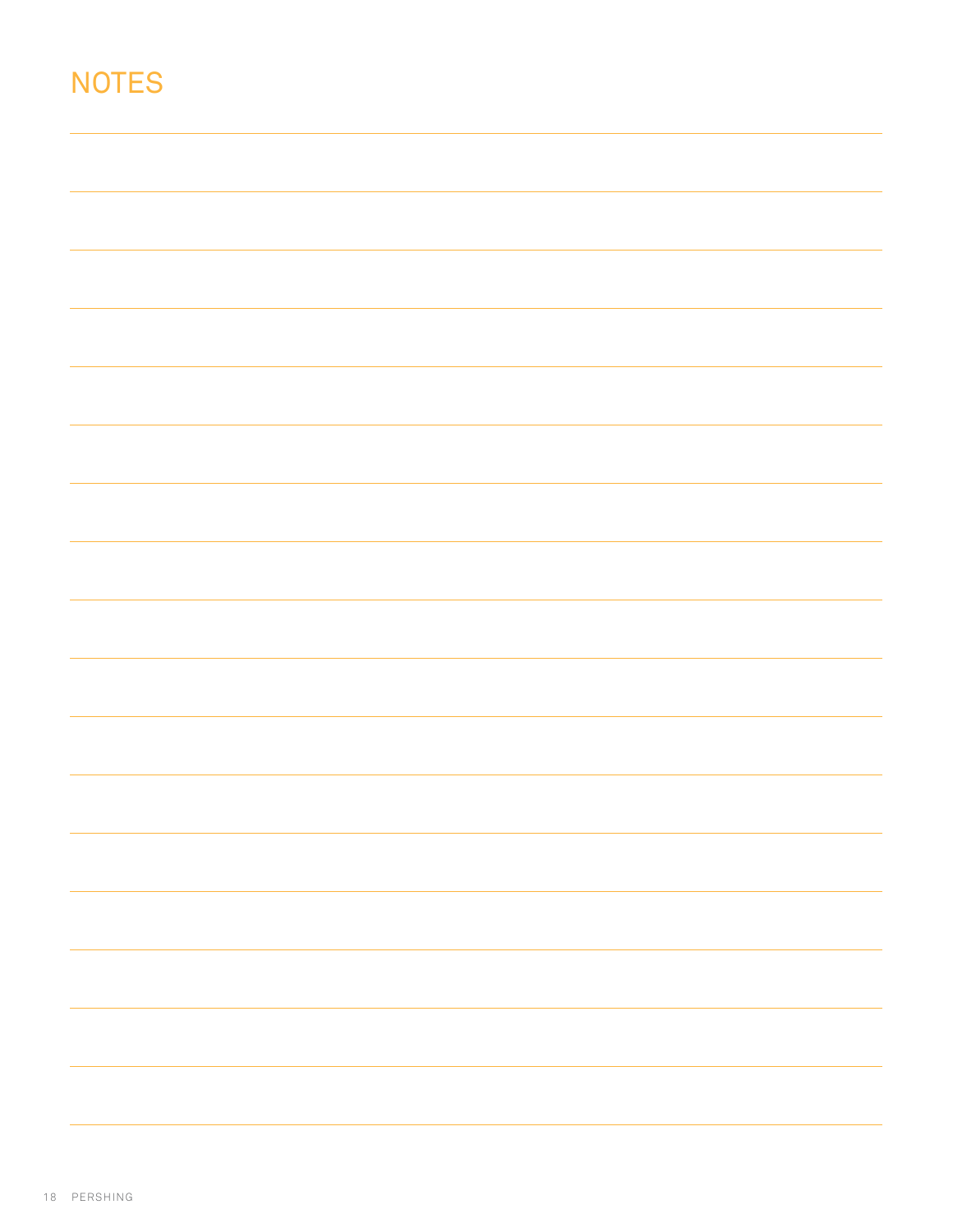# **NOTES**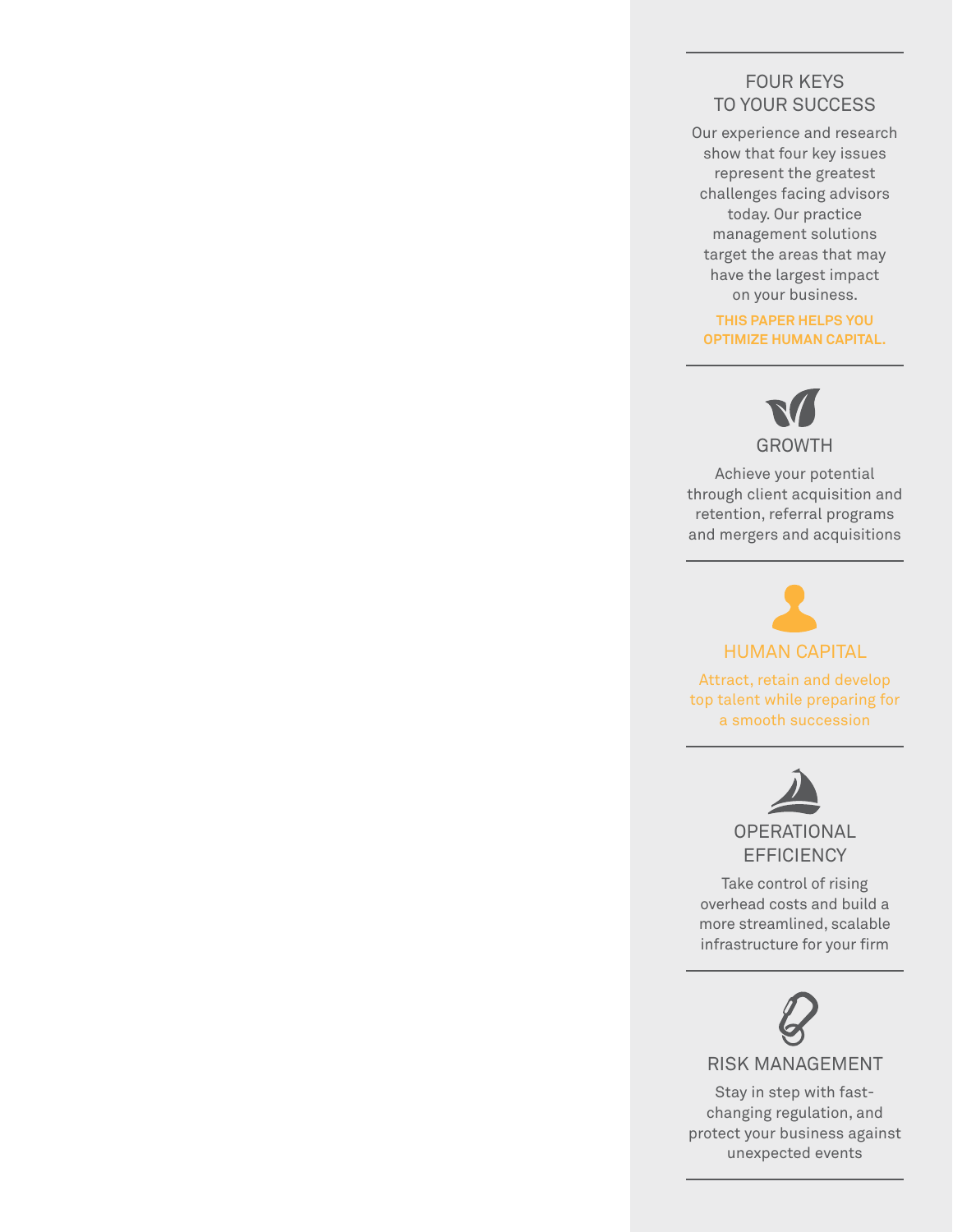#### Four keys to your success

Our experience and research show that four key issues represent the greatest challenges facing advisors today. Our practice management solutions target the areas that may have the largest impact on your business.

**This paper helps you optimize HUMAN CAPITAL.**



Achieve your potential through client acquisition and retention, referral programs and mergers and acquisitions

# HUMAN CAPITAL

Attract, retain and develop top talent while preparing for a smooth succession



**EFFICIENCY** 

Take control of rising overhead costs and build a more streamlined, scalable infrastructure for your firm



RISK MANAGEMENT

Stay in step with fastchanging regulation, and protect your business against unexpected events